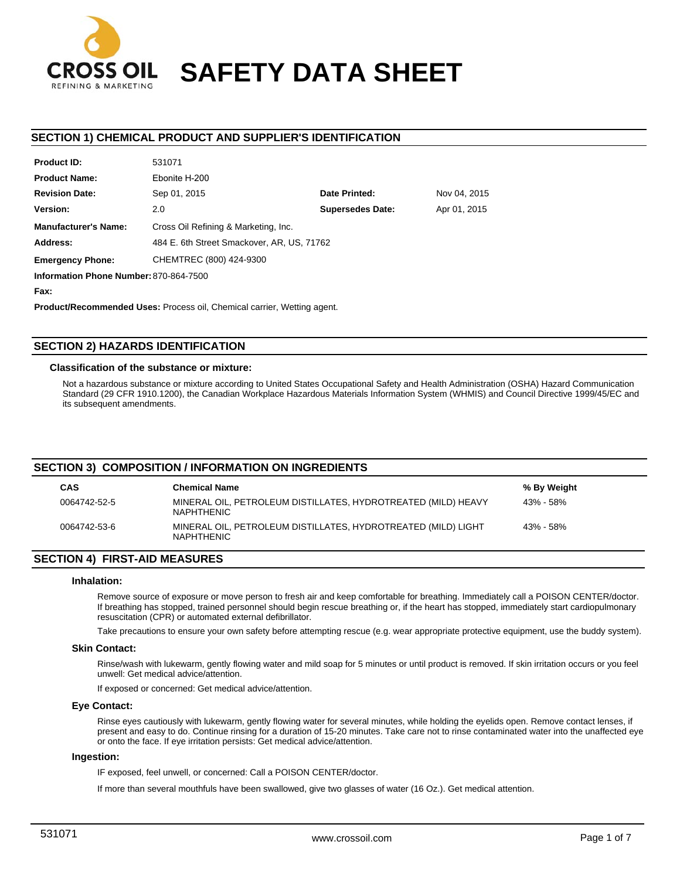

# **SAFETY DATA SHEET**

# **SECTION 1) CHEMICAL PRODUCT AND SUPPLIER'S IDENTIFICATION**

| 331071                               |                                        |                                            |
|--------------------------------------|----------------------------------------|--------------------------------------------|
| Ebonite H-200                        |                                        |                                            |
| Sep 01, 2015                         | Date Printed:                          | Nov 04, 2015                               |
| 2.0                                  | <b>Supersedes Date:</b>                | Apr 01, 2015                               |
| Cross Oil Refining & Marketing, Inc. |                                        |                                            |
|                                      |                                        |                                            |
| CHEMTREC (800) 424-9300              |                                        |                                            |
|                                      |                                        |                                            |
|                                      | Information Phone Number: 870-864-7500 | 484 E. 6th Street Smackover, AR, US, 71762 |

**Fax:**

**Product ID:**

**Product/Recommended Uses:** Process oil, Chemical carrier, Wetting agent.

531071

# **SECTION 2) HAZARDS IDENTIFICATION**

## **Classification of the substance or mixture:**

Not a hazardous substance or mixture according to United States Occupational Safety and Health Administration (OSHA) Hazard Communication Standard (29 CFR 1910.1200), the Canadian Workplace Hazardous Materials Information System (WHMIS) and Council Directive 1999/45/EC and its subsequent amendments.

## **SECTION 3) COMPOSITION / INFORMATION ON INGREDIENTS**

| <b>CAS</b>   | <b>Chemical Name</b>                                                               | % By Weight |
|--------------|------------------------------------------------------------------------------------|-------------|
| 0064742-52-5 | MINERAL OIL, PETROLEUM DISTILLATES, HYDROTREATED (MILD) HEAVY<br><b>NAPHTHENIC</b> | 43% - 58%   |
| 0064742-53-6 | MINERAL OIL, PETROLEUM DISTILLATES, HYDROTREATED (MILD) LIGHT<br><b>NAPHTHENIC</b> | 43% - 58%   |

# **SECTION 4) FIRST-AID MEASURES**

## **Inhalation:**

Remove source of exposure or move person to fresh air and keep comfortable for breathing. Immediately call a POISON CENTER/doctor. If breathing has stopped, trained personnel should begin rescue breathing or, if the heart has stopped, immediately start cardiopulmonary resuscitation (CPR) or automated external defibrillator.

Take precautions to ensure your own safety before attempting rescue (e.g. wear appropriate protective equipment, use the buddy system).

## **Skin Contact:**

Rinse/wash with lukewarm, gently flowing water and mild soap for 5 minutes or until product is removed. If skin irritation occurs or you feel unwell: Get medical advice/attention.

If exposed or concerned: Get medical advice/attention.

## **Eye Contact:**

Rinse eyes cautiously with lukewarm, gently flowing water for several minutes, while holding the eyelids open. Remove contact lenses, if present and easy to do. Continue rinsing for a duration of 15-20 minutes. Take care not to rinse contaminated water into the unaffected eye or onto the face. If eye irritation persists: Get medical advice/attention.

## **Ingestion:**

IF exposed, feel unwell, or concerned: Call a POISON CENTER/doctor.

If more than several mouthfuls have been swallowed, give two glasses of water (16 Oz.). Get medical attention.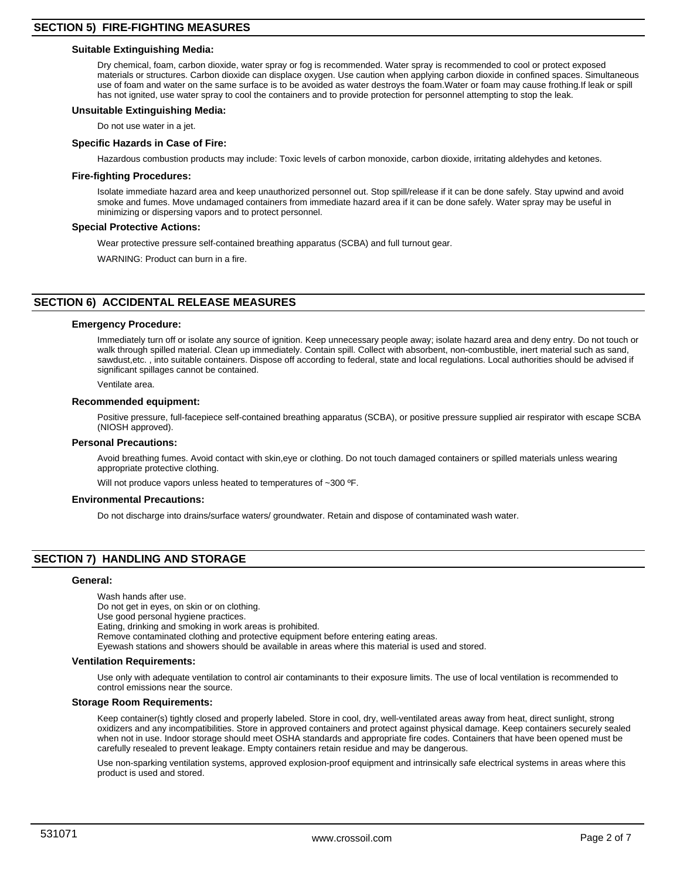## **Suitable Extinguishing Media:**

Dry chemical, foam, carbon dioxide, water spray or fog is recommended. Water spray is recommended to cool or protect exposed materials or structures. Carbon dioxide can displace oxygen. Use caution when applying carbon dioxide in confined spaces. Simultaneous use of foam and water on the same surface is to be avoided as water destroys the foam.Water or foam may cause frothing.If leak or spill has not ignited, use water spray to cool the containers and to provide protection for personnel attempting to stop the leak.

## **Unsuitable Extinguishing Media:**

Do not use water in a jet.

**Specific Hazards in Case of Fire:**

Hazardous combustion products may include: Toxic levels of carbon monoxide, carbon dioxide, irritating aldehydes and ketones.

## **Fire-fighting Procedures:**

Isolate immediate hazard area and keep unauthorized personnel out. Stop spill/release if it can be done safely. Stay upwind and avoid smoke and fumes. Move undamaged containers from immediate hazard area if it can be done safely. Water spray may be useful in minimizing or dispersing vapors and to protect personnel.

## **Special Protective Actions:**

Wear protective pressure self-contained breathing apparatus (SCBA) and full turnout gear.

WARNING: Product can burn in a fire.

# **SECTION 6) ACCIDENTAL RELEASE MEASURES**

## **Emergency Procedure:**

Immediately turn off or isolate any source of ignition. Keep unnecessary people away; isolate hazard area and deny entry. Do not touch or walk through spilled material. Clean up immediately. Contain spill. Collect with absorbent, non-combustible, inert material such as sand, sawdust,etc. , into suitable containers. Dispose off according to federal, state and local regulations. Local authorities should be advised if significant spillages cannot be contained.

Ventilate area.

## **Recommended equipment:**

Positive pressure, full-facepiece self-contained breathing apparatus (SCBA), or positive pressure supplied air respirator with escape SCBA (NIOSH approved).

## **Personal Precautions:**

Avoid breathing fumes. Avoid contact with skin,eye or clothing. Do not touch damaged containers or spilled materials unless wearing appropriate protective clothing.

Will not produce vapors unless heated to temperatures of ~300 °F.

## **Environmental Precautions:**

Do not discharge into drains/surface waters/ groundwater. Retain and dispose of contaminated wash water.

# **SECTION 7) HANDLING AND STORAGE**

## **General:**

Wash hands after use. Do not get in eyes, on skin or on clothing. Use good personal hygiene practices. Eating, drinking and smoking in work areas is prohibited. Remove contaminated clothing and protective equipment before entering eating areas. Eyewash stations and showers should be available in areas where this material is used and stored.

## **Ventilation Requirements:**

Use only with adequate ventilation to control air contaminants to their exposure limits. The use of local ventilation is recommended to control emissions near the source.

## **Storage Room Requirements:**

Keep container(s) tightly closed and properly labeled. Store in cool, dry, well-ventilated areas away from heat, direct sunlight, strong oxidizers and any incompatibilities. Store in approved containers and protect against physical damage. Keep containers securely sealed when not in use. Indoor storage should meet OSHA standards and appropriate fire codes. Containers that have been opened must be carefully resealed to prevent leakage. Empty containers retain residue and may be dangerous.

Use non-sparking ventilation systems, approved explosion-proof equipment and intrinsically safe electrical systems in areas where this product is used and stored.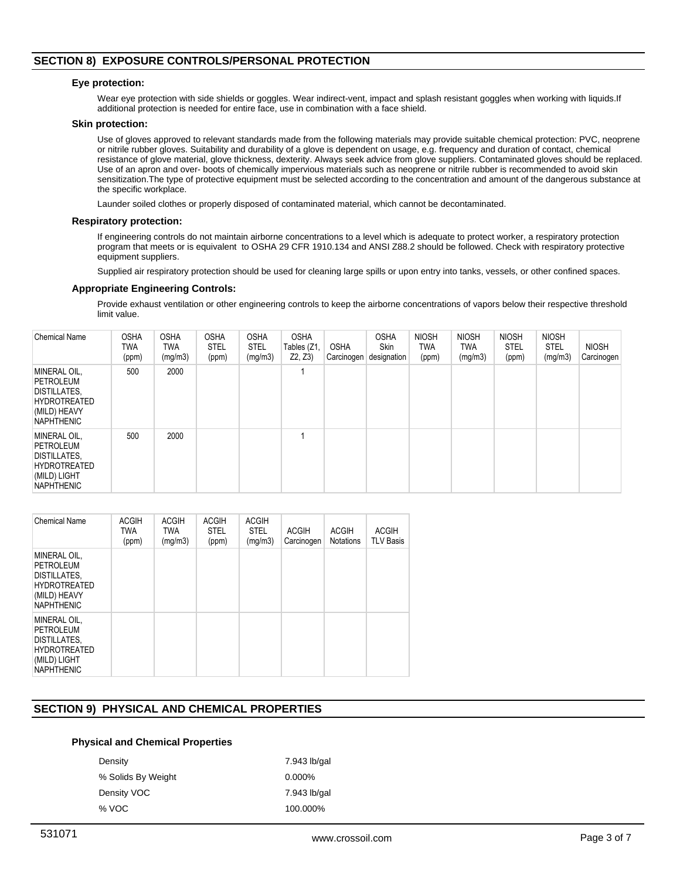# **SECTION 8) EXPOSURE CONTROLS/PERSONAL PROTECTION**

## **Eye protection:**

Wear eye protection with side shields or goggles. Wear indirect-vent, impact and splash resistant goggles when working with liquids.If additional protection is needed for entire face, use in combination with a face shield.

## **Skin protection:**

Use of gloves approved to relevant standards made from the following materials may provide suitable chemical protection: PVC, neoprene or nitrile rubber gloves. Suitability and durability of a glove is dependent on usage, e.g. frequency and duration of contact, chemical resistance of glove material, glove thickness, dexterity. Always seek advice from glove suppliers. Contaminated gloves should be replaced. Use of an apron and over- boots of chemically impervious materials such as neoprene or nitrile rubber is recommended to avoid skin sensitization.The type of protective equipment must be selected according to the concentration and amount of the dangerous substance at the specific workplace.

Launder soiled clothes or properly disposed of contaminated material, which cannot be decontaminated.

## **Respiratory protection:**

If engineering controls do not maintain airborne concentrations to a level which is adequate to protect worker, a respiratory protection program that meets or is equivalent to OSHA 29 CFR 1910.134 and ANSI Z88.2 should be followed. Check with respiratory protective equipment suppliers.

Supplied air respiratory protection should be used for cleaning large spills or upon entry into tanks, vessels, or other confined spaces.

## **Appropriate Engineering Controls:**

Provide exhaust ventilation or other engineering controls to keep the airborne concentrations of vapors below their respective threshold limit value.

| <b>Chemical Name</b>                                                                                                | <b>OSHA</b><br><b>TWA</b><br>(ppm) | <b>OSHA</b><br><b>TWA</b><br>(mg/m3) | <b>OSHA</b><br><b>STEL</b><br>(ppm) | <b>OSHA</b><br><b>STEL</b><br>(mg/m3) | <b>OSHA</b><br>Tables (Z1<br>Z2, Z3) | <b>OSHA</b><br>Carcinogen | <b>OSHA</b><br><b>Skin</b><br>designation | <b>NIOSH</b><br><b>TWA</b><br>(ppm) | <b>NIOSH</b><br>TWA<br>(mg/m3) | <b>NIOSH</b><br><b>STEL</b><br>(ppm) | <b>NIOSH</b><br><b>STEL</b><br>(mg/m3) | <b>NIOSH</b><br>Carcinogen |
|---------------------------------------------------------------------------------------------------------------------|------------------------------------|--------------------------------------|-------------------------------------|---------------------------------------|--------------------------------------|---------------------------|-------------------------------------------|-------------------------------------|--------------------------------|--------------------------------------|----------------------------------------|----------------------------|
| MINERAL OIL.<br><b>PETROLEUM</b><br><b>DISTILLATES,</b><br><b>HYDROTREATED</b><br>(MILD) HEAVY<br><b>NAPHTHENIC</b> | 500                                | 2000                                 |                                     |                                       |                                      |                           |                                           |                                     |                                |                                      |                                        |                            |
| MINERAL OIL.<br><b>PETROLEUM</b><br><b>DISTILLATES,</b><br><b>HYDROTREATED</b><br>(MILD) LIGHT<br><b>NAPHTHENIC</b> | 500                                | 2000                                 |                                     |                                       |                                      |                           |                                           |                                     |                                |                                      |                                        |                            |

| <b>Chemical Name</b>                                                                                  | <b>ACGIH</b><br><b>TWA</b><br>(ppm) | <b>ACGIH</b><br><b>TWA</b><br>(mg/m3) | <b>ACGIH</b><br><b>STEL</b><br>(ppm) | <b>ACGIH</b><br><b>STEL</b><br>(mg/m3) | <b>ACGIH</b><br>Carcinogen | <b>ACGIH</b><br><b>Notations</b> | <b>ACGIH</b><br><b>TLV Basis</b> |
|-------------------------------------------------------------------------------------------------------|-------------------------------------|---------------------------------------|--------------------------------------|----------------------------------------|----------------------------|----------------------------------|----------------------------------|
| MINERAL OIL.<br>PETROLEUM<br>DISTILLATES,<br><b>HYDROTREATED</b><br>(MILD) HEAVY<br><b>NAPHTHENIC</b> |                                     |                                       |                                      |                                        |                            |                                  |                                  |
| MINERAL OIL,<br>PETROLEUM<br>DISTILLATES.<br><b>HYDROTREATED</b><br>(MILD) LIGHT<br><b>NAPHTHENIC</b> |                                     |                                       |                                      |                                        |                            |                                  |                                  |

# **SECTION 9) PHYSICAL AND CHEMICAL PROPERTIES**

## **Physical and Chemical Properties**

| Density            | 7.943 lb/gal |
|--------------------|--------------|
| % Solids By Weight | $0.000\%$    |
| Density VOC        | 7.943 lb/gal |
| % VOC              | 100.000%     |
|                    |              |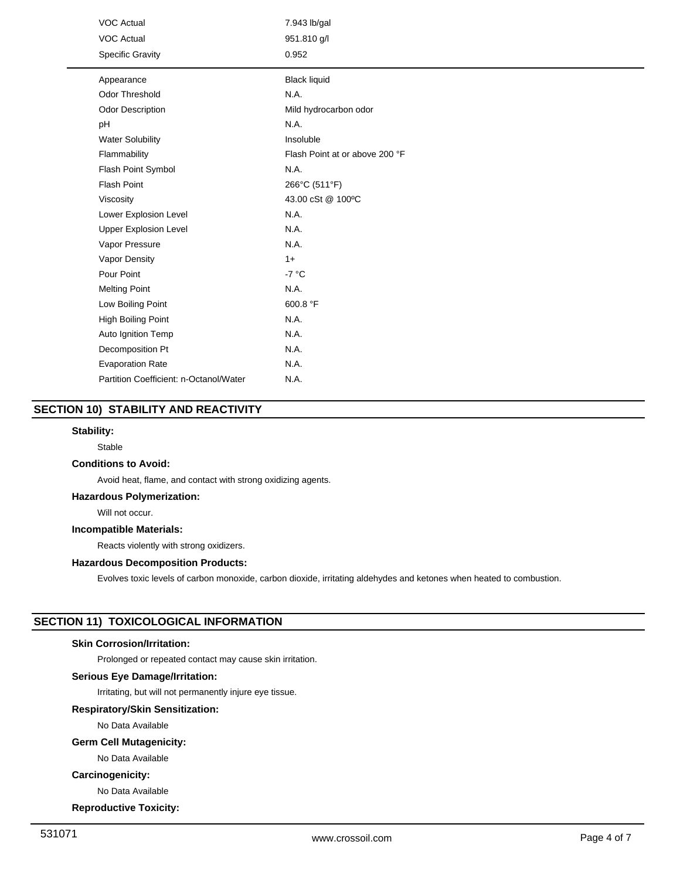| <b>VOC Actual</b>                      | 7.943 lb/gal                   |
|----------------------------------------|--------------------------------|
| <b>VOC Actual</b>                      | 951.810 g/l                    |
| <b>Specific Gravity</b>                | 0.952                          |
| Appearance                             | <b>Black liquid</b>            |
|                                        |                                |
| <b>Odor Threshold</b>                  | N.A.                           |
| Odor Description                       | Mild hydrocarbon odor          |
| pH                                     | N.A.                           |
| <b>Water Solubility</b>                | Insoluble                      |
| Flammability                           | Flash Point at or above 200 °F |
| Flash Point Symbol                     | N.A.                           |
| <b>Flash Point</b>                     | 266°C (511°F)                  |
| Viscosity                              | 43.00 cSt @ 100°C              |
| Lower Explosion Level                  | N.A.                           |
| <b>Upper Explosion Level</b>           | N.A.                           |
| Vapor Pressure                         | N.A.                           |
| Vapor Density                          | $1+$                           |
| Pour Point                             | $-7 °C$                        |
| <b>Melting Point</b>                   | N.A.                           |
| Low Boiling Point                      | 600.8 °F                       |
| High Boiling Point                     | N.A.                           |
| Auto Ignition Temp                     | N.A.                           |
| Decomposition Pt                       | N.A.                           |
| <b>Evaporation Rate</b>                | N.A.                           |
| Partition Coefficient: n-Octanol/Water | N.A.                           |

# **SECTION 10) STABILITY AND REACTIVITY**

## **Stability:**

Stable

## **Conditions to Avoid:**

Avoid heat, flame, and contact with strong oxidizing agents.

# **Hazardous Polymerization:**

Will not occur.

## **Incompatible Materials:**

Reacts violently with strong oxidizers.

## **Hazardous Decomposition Products:**

Evolves toxic levels of carbon monoxide, carbon dioxide, irritating aldehydes and ketones when heated to combustion.

# **SECTION 11) TOXICOLOGICAL INFORMATION**

## **Skin Corrosion/Irritation:**

Prolonged or repeated contact may cause skin irritation.

# **Serious Eye Damage/Irritation:**

Irritating, but will not permanently injure eye tissue.

# **Respiratory/Skin Sensitization:**

No Data Available

# **Germ Cell Mutagenicity:**

No Data Available

# **Carcinogenicity:**

No Data Available

**Reproductive Toxicity:**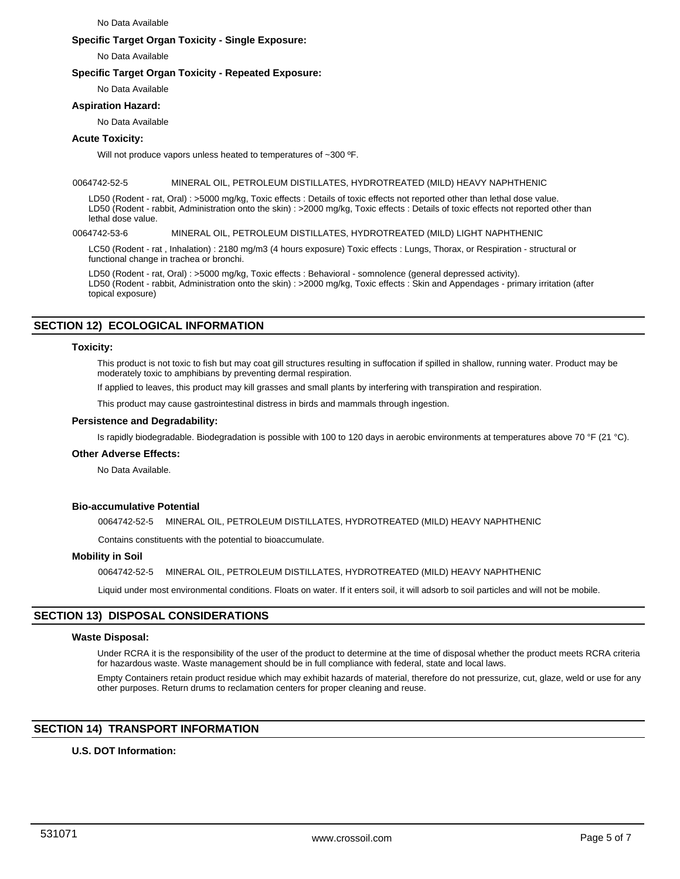#### No Data Available

## **Specific Target Organ Toxicity - Single Exposure:**

No Data Available

## **Specific Target Organ Toxicity - Repeated Exposure:**

No Data Available

## **Aspiration Hazard:**

No Data Available

## **Acute Toxicity:**

Will not produce vapors unless heated to temperatures of ~300 °F.

## 0064742-52-5 MINERAL OIL, PETROLEUM DISTILLATES, HYDROTREATED (MILD) HEAVY NAPHTHENIC

LD50 (Rodent - rat, Oral) : >5000 mg/kg, Toxic effects : Details of toxic effects not reported other than lethal dose value. LD50 (Rodent - rabbit, Administration onto the skin) : >2000 mg/kg, Toxic effects : Details of toxic effects not reported other than lethal dose value.

## 0064742-53-6 MINERAL OIL, PETROLEUM DISTILLATES, HYDROTREATED (MILD) LIGHT NAPHTHENIC

LC50 (Rodent - rat , Inhalation) : 2180 mg/m3 (4 hours exposure) Toxic effects : Lungs, Thorax, or Respiration - structural or functional change in trachea or bronchi.

LD50 (Rodent - rat, Oral) : >5000 mg/kg, Toxic effects : Behavioral - somnolence (general depressed activity). LD50 (Rodent - rabbit, Administration onto the skin) : >2000 mg/kg, Toxic effects : Skin and Appendages - primary irritation (after topical exposure)

# **SECTION 12) ECOLOGICAL INFORMATION**

## **Toxicity:**

This product is not toxic to fish but may coat gill structures resulting in suffocation if spilled in shallow, running water. Product may be moderately toxic to amphibians by preventing dermal respiration.

If applied to leaves, this product may kill grasses and small plants by interfering with transpiration and respiration.

This product may cause gastrointestinal distress in birds and mammals through ingestion.

## **Persistence and Degradability:**

Is rapidly biodegradable. Biodegradation is possible with 100 to 120 days in aerobic environments at temperatures above 70 °F (21 °C).

## **Other Adverse Effects:**

No Data Available.

## **Bio-accumulative Potential**

0064742-52-5 MINERAL OIL, PETROLEUM DISTILLATES, HYDROTREATED (MILD) HEAVY NAPHTHENIC

Contains constituents with the potential to bioaccumulate.

## **Mobility in Soil**

0064742-52-5 MINERAL OIL, PETROLEUM DISTILLATES, HYDROTREATED (MILD) HEAVY NAPHTHENIC

Liquid under most environmental conditions. Floats on water. If it enters soil, it will adsorb to soil particles and will not be mobile.

# **SECTION 13) DISPOSAL CONSIDERATIONS**

## **Waste Disposal:**

Under RCRA it is the responsibility of the user of the product to determine at the time of disposal whether the product meets RCRA criteria for hazardous waste. Waste management should be in full compliance with federal, state and local laws.

Empty Containers retain product residue which may exhibit hazards of material, therefore do not pressurize, cut, glaze, weld or use for any other purposes. Return drums to reclamation centers for proper cleaning and reuse.

# **SECTION 14) TRANSPORT INFORMATION**

## **U.S. DOT Information:**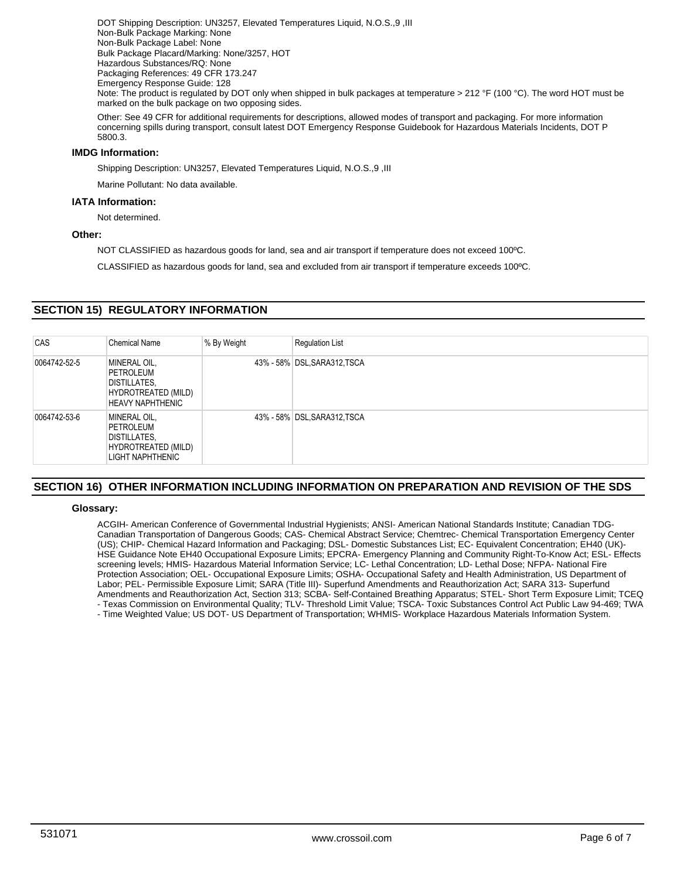DOT Shipping Description: UN3257, Elevated Temperatures Liquid, N.O.S.,9 ,III Non-Bulk Package Marking: None Non-Bulk Package Label: None Bulk Package Placard/Marking: None/3257, HOT Hazardous Substances/RQ: None Packaging References: 49 CFR 173.247 Emergency Response Guide: 128 Note: The product is regulated by DOT only when shipped in bulk packages at temperature > 212 °F (100 °C). The word HOT must be marked on the bulk package on two opposing sides.

Other: See 49 CFR for additional requirements for descriptions, allowed modes of transport and packaging. For more information concerning spills during transport, consult latest DOT Emergency Response Guidebook for Hazardous Materials Incidents, DOT P 5800.3.

# **IMDG Information:**

Shipping Description: UN3257, Elevated Temperatures Liquid, N.O.S.,9 ,III

Marine Pollutant: No data available.

## **IATA Information:**

Not determined.

## **Other:**

NOT CLASSIFIED as hazardous goods for land, sea and air transport if temperature does not exceed 100ºC.

CLASSIFIED as hazardous goods for land, sea and excluded from air transport if temperature exceeds 100ºC.

# **SECTION 15) REGULATORY INFORMATION**

| CAS          | <b>Chemical Name</b>                                                                               | % By Weight | <b>Requlation List</b>       |
|--------------|----------------------------------------------------------------------------------------------------|-------------|------------------------------|
| 0064742-52-5 | MINERAL OIL,<br>PETROLEUM<br><b>DISTILLATES,</b><br>HYDROTREATED (MILD)<br><b>HEAVY NAPHTHENIC</b> |             | 43% - 58% DSL, SARA312, TSCA |
| 0064742-53-6 | MINERAL OIL,<br>PETROLEUM<br><b>DISTILLATES,</b><br>HYDROTREATED (MILD)<br>LIGHT NAPHTHENIC        |             | 43% - 58% DSL, SARA312, TSCA |

# **SECTION 16) OTHER INFORMATION INCLUDING INFORMATION ON PREPARATION AND REVISION OF THE SDS**

## **Glossary:**

ACGIH- American Conference of Governmental Industrial Hygienists; ANSI- American National Standards Institute; Canadian TDG-Canadian Transportation of Dangerous Goods; CAS- Chemical Abstract Service; Chemtrec- Chemical Transportation Emergency Center (US); CHIP- Chemical Hazard Information and Packaging; DSL- Domestic Substances List; EC- Equivalent Concentration; EH40 (UK)- HSE Guidance Note EH40 Occupational Exposure Limits; EPCRA- Emergency Planning and Community Right-To-Know Act; ESL- Effects screening levels; HMIS- Hazardous Material Information Service; LC- Lethal Concentration; LD- Lethal Dose; NFPA- National Fire Protection Association; OEL- Occupational Exposure Limits; OSHA- Occupational Safety and Health Administration, US Department of Labor; PEL- Permissible Exposure Limit; SARA (Title III)- Superfund Amendments and Reauthorization Act; SARA 313- Superfund Amendments and Reauthorization Act, Section 313; SCBA- Self-Contained Breathing Apparatus; STEL- Short Term Exposure Limit; TCEQ - Texas Commission on Environmental Quality; TLV- Threshold Limit Value; TSCA- Toxic Substances Control Act Public Law 94-469; TWA - Time Weighted Value; US DOT- US Department of Transportation; WHMIS- Workplace Hazardous Materials Information System.